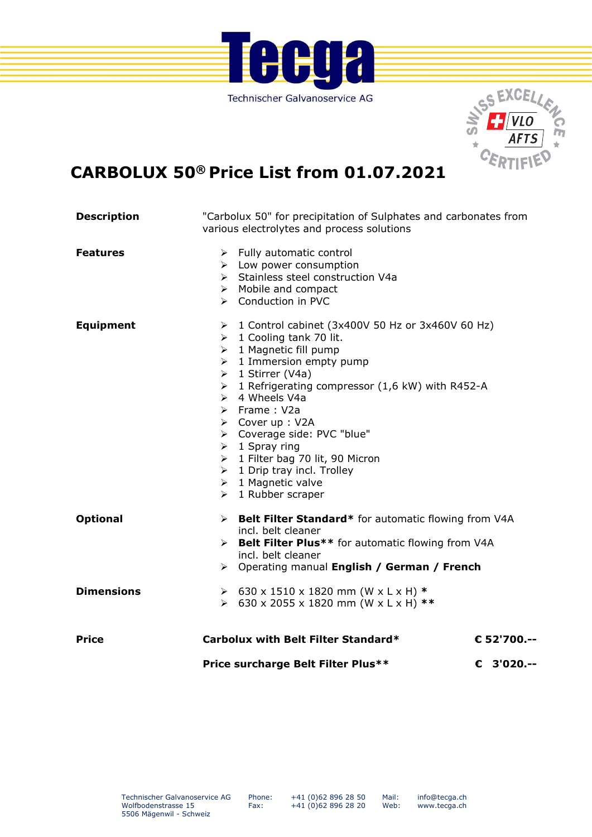



## **CARBOLUX 50® Price List from 01.07.2021**

| <b>Description</b> | various electrolytes and process solutions                                                                                                                                                                                                                                                                                                                                                                                                                                                                                                                                         | "Carbolux 50" for precipitation of Sulphates and carbonates from |  |  |
|--------------------|------------------------------------------------------------------------------------------------------------------------------------------------------------------------------------------------------------------------------------------------------------------------------------------------------------------------------------------------------------------------------------------------------------------------------------------------------------------------------------------------------------------------------------------------------------------------------------|------------------------------------------------------------------|--|--|
| <b>Features</b>    | $\triangleright$ Fully automatic control<br>$\triangleright$ Low power consumption<br>> Stainless steel construction V4a<br>$\triangleright$ Mobile and compact<br>> Conduction in PVC                                                                                                                                                                                                                                                                                                                                                                                             |                                                                  |  |  |
| <b>Equipment</b>   | 1 Control cabinet (3x400V 50 Hz or 3x460V 60 Hz)<br>≻<br>$\geq 1$ Cooling tank 70 lit.<br>$\triangleright$ 1 Magnetic fill pump<br>$\geq 1$ Immersion empty pump<br>> 1 Stirrer (V4a)<br>1 Refrigerating compressor (1,6 kW) with R452-A<br>$\blacktriangleright$<br>$\triangleright$ 4 Wheels V4a<br>$\triangleright$ Frame : V2a<br>> Cover up : V2A<br>> Coverage side: PVC "blue"<br>$\triangleright$ 1 Spray ring<br>> 1 Filter bag 70 lit, 90 Micron<br>$\triangleright$ 1 Drip tray incl. Trolley<br>$\triangleright$ 1 Magnetic valve<br>$\triangleright$ 1 Rubber scraper |                                                                  |  |  |
| <b>Optional</b>    | > Belt Filter Standard* for automatic flowing from V4A<br>incl. belt cleaner<br>> Belt Filter Plus** for automatic flowing from V4A<br>incl. belt cleaner<br>> Operating manual English / German / French                                                                                                                                                                                                                                                                                                                                                                          |                                                                  |  |  |
| <b>Dimensions</b>  | $\geq$ 630 x 1510 x 1820 mm (W x L x H) *<br>> 630 x 2055 x 1820 mm (W x L x H) **                                                                                                                                                                                                                                                                                                                                                                                                                                                                                                 |                                                                  |  |  |
| <b>Price</b>       | Carbolux with Belt Filter Standard*                                                                                                                                                                                                                                                                                                                                                                                                                                                                                                                                                | € 52'700 .--                                                     |  |  |
|                    | Price surcharge Belt Filter Plus**                                                                                                                                                                                                                                                                                                                                                                                                                                                                                                                                                 | € 3'020.--                                                       |  |  |

Mail: Web: